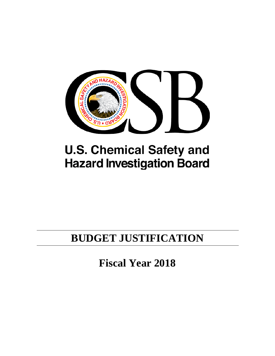

# **U.S. Chemical Safety and Hazard Investigation Board**

# **BUDGET JUSTIFICATION**

**Fiscal Year 2018**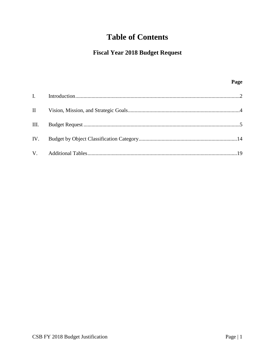# **Table of Contents**

## **Fiscal Year 2018 Budget Request**

## Page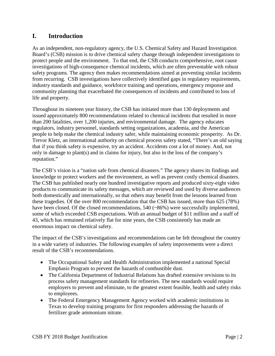## <span id="page-2-0"></span>**I. Introduction**

As an independent, non-regulatory agency, the U.S. Chemical Safety and Hazard Investigation Board's (CSB) mission is to drive chemical safety change through independent investigations to protect people and the environment. To that end, the CSB conducts comprehensive, root cause investigations of high-consequence chemical incidents, which are often preventable with robust safety programs. The agency then makes recommendations aimed at preventing similar incidents from recurring. CSB investigations have collectively identified gaps in regulatory requirements, industry standards and guidance, workforce training and operations, emergency response and community planning that exacerbated the consequences of incidents and contributed to loss of life and property.

Throughout its nineteen year history, the CSB has initiated more than 130 deployments and issued approximately 800 recommendations related to chemical incidents that resulted in more than 200 fatalities, over 1,200 injuries, and environmental damage. The agency educates regulators, industry personnel, standards setting organizations, academia, and the American people to help make the chemical industry safer, while maintaining economic prosperity. As Dr. Trevor Kletz, an international authority on chemical process safety stated, "There's an old saying that if you think safety is expensive, try an accident. Accidents cost a lot of money. And, not only in damage to plant(s) and in claims for injury, but also in the loss of the company's reputation."

The CSB's vision is a "nation safe from chemical disasters." The agency shares its findings and knowledge to protect workers and the environment, as well as prevent costly chemical disasters. The CSB has published nearly one hundred investigative reports and produced sixty-eight video products to communicate its safety messages, which are reviewed and used by diverse audiences both domestically and internationally, so that others may benefit from the lessons learned from these tragedies. Of the over 800 recommendation that the CSB has issued, more than 625 (78%) have been closed. Of the closed recommendations, 540 (~86%) were successfully implemented, some of which exceeded CSB expectations. With an annual budget of \$11 million and a staff of 43, which has remained relatively flat for nine years, the CSB consistently has made an enormous impact on chemical safety.

The impact of the CSB's investigations and recommendations can be felt throughout the country in a wide variety of industries. The following examples of safety improvements were a direct result of the CSB's recommendations.

- The Occupational Safety and Health Administration implemented a national Special Emphasis Program to prevent the hazards of combustible dust.
- The California Department of Industrial Relations has drafted extensive revisions to its process safety management standards for refineries. The new standards would require employers to prevent and eliminate, to the greatest extent feasible, health and safety risks to employees.
- The Federal Emergency Management Agency worked with academic institutions in Texas to develop training programs for first responders addressing the hazards of fertilizer grade ammonium nitrate.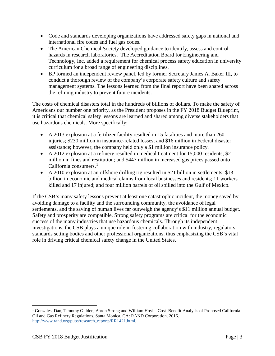- Code and standards developing organizations have addressed safety gaps in national and international fire codes and fuel gas codes.
- The American Chemical Society developed guidance to identify, assess and control hazards in research laboratories. The Accreditation Board for Engineering and Technology, Inc. added a requirement for chemical process safety education in university curriculum for a broad range of engineering disciplines.
- BP formed an independent review panel, led by former Secretary James A. Baker III, to conduct a thorough review of the company's corporate safety culture and safety management systems. The lessons learned from the final report have been shared across the refining industry to prevent future incidents.

The costs of chemical disasters total in the hundreds of billions of dollars. To make the safety of Americans our number one priority, as the President proposes in the FY 2018 Budget Blueprint, it is critical that chemical safety lessons are learned and shared among diverse stakeholders that use hazardous chemicals. More specifically:

- A 2013 explosion at a fertilizer facility resulted in 15 fatalities and more than 260 injuries; \$230 million in insurance-related losses; and \$16 million in Federal disaster assistance; however, the company held only a \$1 million insurance policy.
- A 2012 explosion at a refinery resulted in medical treatment for 15,000 residents; \$2 million in fines and restitution; and \$447 million in increased gas prices passed onto California consumers. $<sup>1</sup>$  $<sup>1</sup>$  $<sup>1</sup>$ </sup>
- A 2010 explosion at an offshore drilling rig resulted in \$21 billion in settlements; \$13 billion in economic and medical claims from local businesses and residents; 11 workers killed and 17 injured; and four million barrels of oil spilled into the Gulf of Mexico.

If the CSB's many safety lessons prevent at least one catastrophic incident, the money saved by avoiding damage to a facility and the surrounding community, the avoidance of legal settlements, and the saving of human lives far outweigh the agency's \$11 million annual budget. Safety and prosperity are compatible. Strong safety programs are critical for the economic success of the many industries that use hazardous chemicals. Through its independent investigations, the CSB plays a unique role in fostering collaboration with industry, regulators, standards setting bodies and other professional organizations, thus emphasizing the CSB's vital role in driving critical chemical safety change in the United States.

 $\overline{\phantom{a}}$ 

<span id="page-3-0"></span><sup>1</sup> Gonzales, Dan, Timothy Gulden, Aaron Strong and William Hoyle. Cost–Benefit Analysis of Proposed California Oil and Gas Refinery Regulations. Santa Monica, CA: RAND Corporation, 2016. http://www.rand.org/pubs/research\_reports/RR1421.html.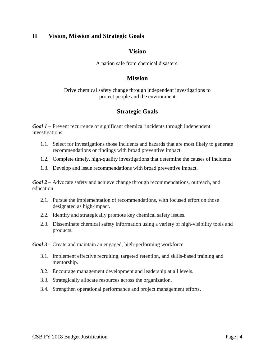## <span id="page-4-0"></span>**II Vision, Mission and Strategic Goals**

## **Vision**

A nation safe from chemical disasters.

## **Mission**

#### Drive chemical safety change through independent investigations to protect people and the environment.

## **Strategic Goals**

*Goal 1 –* Prevent recurrence of significant chemical incidents through independent investigations.

- 1.1. Select for investigations those incidents and hazards that are most likely to generate recommendations or findings with broad preventive impact.
- 1.2. Complete timely, high-quality investigations that determine the causes of incidents.
- 1.3. Develop and issue recommendations with broad preventive impact.

*Goal 2 –* Advocate safety and achieve change through recommendations, outreach, and education.

- 2.1. Pursue the implementation of recommendations, with focused effort on those designated as high-impact.
- 2.2. Identify and strategically promote key chemical safety issues.
- 2.3. Disseminate chemical safety information using a variety of high-visibility tools and products.
- *Goal 3 –* Create and maintain an engaged, high-performing workforce.
	- 3.1. Implement effective recruiting, targeted retention, and skills-based training and mentorship.
	- 3.2. Encourage management development and leadership at all levels.
	- 3.3. Strategically allocate resources across the organization.
	- 3.4. Strengthen operational performance and project management efforts.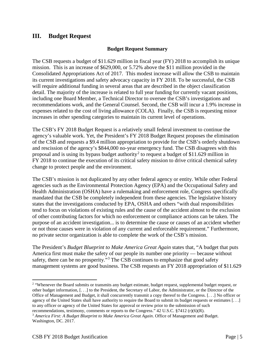## <span id="page-5-0"></span>**III. Budget Request**

#### **Budget Request Summary**

The CSB requests a budget of \$11.629 million in fiscal year (FY) 2018 to accomplish its unique mission. This is an increase of \$629,000, or 5.72% above the \$11 million provided in the Consolidated Appropriations Act of 2017. This modest increase will allow the CSB to maintain its current investigations and safety advocacy capacity in FY 2018. To be successful, the CSB will require additional funding in several areas that are described in the object classification detail. The majority of the increase is related to full year funding for currently vacant positions, including one Board Member, a Technical Director to oversee the CSB's investigations and recommendations work, and the General Counsel. Second, the CSB will incur a 1.9% increase in expenses related to the cost of living allowance (COLA). Finally, the CSB is requesting minor increases in other spending categories to maintain its current level of operations.

The CSB's FY 2018 Budget Request is a relatively small federal investment to continue the agency's valuable work. Yet, the President's FY 2018 Budget Request proposes the elimination of the CSB and requests a \$9.4 million appropriation to provide for the CSB's orderly shutdown and rescission of the agency's \$844,000 no-year emergency fund. The CSB disagrees with this proposal and is using its bypass budget authority<sup>[2](#page-5-1)</sup> to request a budget of \$11.629 million in FY 2018 to continue the execution of its critical safety mission to drive critical chemical safety change to protect people and the environment.

The CSB's mission is not duplicated by any other federal agency or entity. While other Federal agencies such as the Environmental Protection Agency (EPA) and the Occupational Safety and Health Administration (OSHA) have a rulemaking and enforcement role, Congress specifically mandated that the CSB be completely independent from these agencies. The legislative history states that the investigations conducted by EPA, OSHA and others "with dual responsibilities tend to focus on violations of existing rules and the cause of the accident almost to the exclusion of other contributing factors for which no enforcement or compliance actions can be taken. The purpose of an accident investigation... is to determine the cause or causes of an accident whether or not those causes were in violation of any current and enforceable requirement." Furthermore, no private sector organization is able to complete the work of the CSB's mission.

The President's *Budget Blueprint to Make America Great Again* states that, "A budget that puts America first must make the safety of our people its number one priority — because without safety, there can be no prosperity."<sup>[3](#page-5-2)</sup> The CSB continues to emphasize that good safety management systems are good business. The CSB requests an FY 2018 appropriation of \$11.629

l

<span id="page-5-1"></span><sup>&</sup>lt;sup>2</sup> "Whenever the Board submits or transmits any budget estimate, budget request, supplemental budget request, or other budget information, [. . .] to the President, the Secretary of Labor, the Administrator, or the Director of the Office of Management and Budget, it shall concurrently transmit a copy thereof to the Congress. [. . .] No officer or agency of the United States shall have authority to require the Board to submit its budget requests or estimates [. . .] to any officer or agency of the United States for approval or review prior to the submission of such

<span id="page-5-2"></span>recommendations, testimony, comments or reports to the Congress." 42 U.S.C. §7412 (r)(6)(R). 3 *America First: A Budget Blueprint to Make America Great Again*. Office of Management and Budget. Washington, DC. 2017.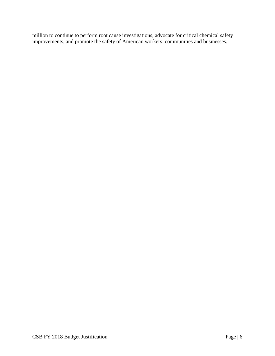million to continue to perform root cause investigations, advocate for critical chemical safety improvements, and promote the safety of American workers, communities and businesses.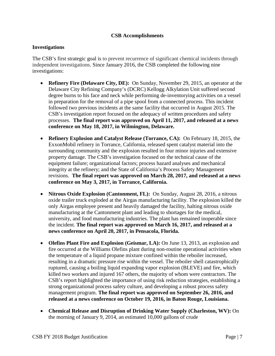#### **CSB Accomplishments**

#### **Investigations**

The CSB's first strategic goal is to prevent recurrence of significant chemical incidents through independent investigations. Since January 2016, the CSB completed the following nine investigations:

- **Refinery Fire (Delaware City, DE):** On Sunday, November 29, 2015, an operator at the Delaware City Refining Company's (DCRC) Kellogg Alkylation Unit suffered second degree burns to his face and neck while performing de-inventorying activities on a vessel in preparation for the removal of a pipe spool from a connected process. This incident followed two previous incidents at the same facility that occurred in August 2015. The CSB's investigation report focused on the adequacy of written procedures and safety processes. **The final report was approved on April 11, 2017, and released at a news conference on May 18, 2017, in Wilmington, Delaware.**
- **Refinery Explosion and Catalyst Release (Torrance, CA):** On February 18, 2015, the ExxonMobil refinery in Torrance, California, released spent catalyst material into the surrounding community and the explosion resulted in four minor injuries and extensive property damage. The CSB's investigation focused on the technical cause of the equipment failure; organizational factors; process hazard analyses and mechanical integrity at the refinery; and the State of California's Process Safety Management revisions. **The final report was approved on March 28, 2017, and released at a news conference on May 3, 2017, in Torrance, California.**
- **Nitrous Oxide Explosion (Cantonment, FL):** On Sunday, August 28, 2016, a nitrous oxide trailer truck exploded at the Airgas manufacturing facility. The explosion killed the only Airgas employee present and heavily damaged the facility, halting nitrous oxide manufacturing at the Cantonment plant and leading to shortages for the medical, university, and food manufacturing industries. The plant has remained inoperable since the incident. **The final report was approved on March 16, 2017, and released at a news conference on April 20, 2017, in Pensacola, Florida.**
- **Olefins Plant Fire and Explosion (Geismar, LA):** On June 13, 2013, an explosion and fire occurred at the Williams Olefins plant during non-routine operational activities when the temperature of a liquid propane mixture confined within the reboiler increased, resulting in a dramatic pressure rise within the vessel. The reboiler shell catastrophically ruptured, causing a boiling liquid expanding vapor explosion (BLEVE) and fire, which killed two workers and injured 167 others, the majority of whom were contractors. The CSB's report highlighted the importance of using risk reduction strategies, establishing a strong organizational process safety culture, and developing a robust process safety management program. **The final report was approved on September 26, 2016, and released at a news conference on October 19, 2016, in Baton Rouge, Louisiana.**
- **Chemical Release and Disruption of Drinking Water Supply (Charleston, WV):** On the morning of January 9, 2014, an estimated 10,000 gallons of crude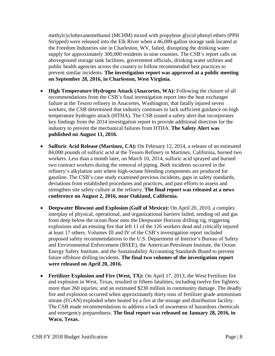methylcyclohexanemethanol (MCHM) mixed with propylene glycol phenyl ethers (PPH Stripped) were released into the Elk River when a 46,000-gallon storage tank located at the Freedom Industries site in Charleston, WV, failed, disrupting the drinking water supply for approximately 300,000 residents in nine counties. The CSB's report calls on aboveground storage tank facilities, government officials, drinking water utilities and public health agencies across the country to follow recommended best practices to prevent similar incidents. **The investigation report was approved at a public meeting on September 28, 2016, in Charleston, West Virginia.** 

- **High Temperature Hydrogen Attack (Anacortes, WA):** Following the closure of all recommendations from the CSB's final investigation report into the heat exchanger failure at the Tesoro refinery in Anacortes, Washington, that fatally injured seven workers, the CSB determined that industry continues to lack sufficient guidance on high temperature hydrogen attack (HTHA). The CSB issued a safety alert that incorporates key findings from the 2014 investigation report to provide additional direction for the industry to prevent the mechanical failures from HTHA. **The Safety Alert was published on August 11, 2016.**
- **Sulfuric Acid Release (Martinez, CA):** On February 12, 2014, a release of an estimated 84,000 pounds of sulfuric acid at the Tesoro Refinery in Martinez, California, burned two workers. Less than a month later, on March 10, 2014, sulfuric acid sprayed and burned two contract workers during the removal of piping. Both incidents occurred in the refinery's alkylation unit where high-octane blending components are produced for gasoline. The CSB's case study examined previous incidents, gaps in safety standards, deviations from established procedures and practices, and past efforts to assess and strengthen site safety culture at the refinery. **The final report was released at a news conference on August 2, 2016, near Oakland, California.**
- **Deepwater Blowout and Explosion (Gulf of Mexico):** On April 20, 2010, a complex interplay of physical, operational, and organizational barriers failed, sending oil and gas from deep below the ocean floor onto the Deepwater Horizon drilling rig, triggering explosions and an ensuing fire that left 11 of the 126 workers dead and critically injured at least 17 others. Volumes III and IV of the CSB's investigation report included proposed safety recommendations to the U.S. Department of Interior's Bureau of Safety and Environmental Enforcement (BSEE), the American Petroleum Institute, the Ocean Energy Safety Institute, and the Sustainability Accounting Standards Board to prevent future offshore drilling incidents. **The final two volumes of the investigation report were released on April 20, 2016.**
- **Fertilizer Explosion and Fire (West, TX):** On April 17, 2013, the West Fertilizer fire and explosion in West, Texas, resulted in fifteen fatalities, including twelve fire fighters; more than 260 injuries; and an estimated \$230 million in community damage. The deadly fire and explosion occurred when approximately thirty tons of fertilizer grade ammonium nitrate (FGAN) exploded when heated by a fire at the storage and distribution facility. The CSB made recommendations to address a lack of awareness of hazardous chemicals and emergency preparedness. **The final report was released on January 28, 2016, in Waco, Texas.**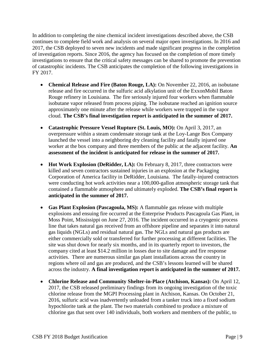In addition to completing the nine chemical incident investigations described above, the CSB continues to complete field work and analysis on several major open investigations. In 2016 and 2017, the CSB deployed to seven new incidents and made significant progress in the completion of investigation reports. Since 2016, the agency has focused on the completion of more timely investigations to ensure that the critical safety messages can be shared to promote the prevention of catastrophic incidents. The CSB anticipates the completion of the following investigations in FY 2017.

- **Chemical Release and Fire (Baton Rouge, LA):** On November 22, 2016, an isobutane release and fire occurred in the sulfuric acid alkylation unit of the ExxonMobil Baton Rouge refinery in Louisiana. The fire seriously injured four workers when flammable isobutane vapor released from process piping. The isobutane reached an ignition source approximately one minute after the release while workers were trapped in the vapor cloud. **The CSB's final investigation report is anticipated in the summer of 2017.**
- **Catastrophic Pressure Vessel Rupture (St. Louis, MO):** On April 3, 2017, an overpressure within a steam condensate storage tank at the Loy-Lange Box Company launched the vessel into a neighboring dry cleaning facility and fatally injured one worker at the box company and three members of the public at the adjacent facility. **An assessment of the incident is anticipated for release in the summer of 2017.**
- **Hot Work Explosion (DeRidder, LA):** On February 8, 2017, three contractors were killed and seven contractors sustained injuries in an explosion at the Packaging Corporation of America facility in DeRidder, Louisiana. The fatally-injured contractors were conducting hot work activities near a 100,000-gallon atmospheric storage tank that contained a flammable atmosphere and ultimately exploded. **The CSB's final report is anticipated in the summer of 2017.**
- **Gas Plant Explosion (Pascagoula, MS):** A flammable gas release with multiple explosions and ensuing fire occurred at the Enterprise Products Pascagoula Gas Plant, in Moss Point, Mississippi on June 27, 2016. The incident occurred in a cryogenic process line that takes natural gas received from an offshore pipeline and separates it into natural gas liquids (NGLs) and residual natural gas. The NGLs and natural gas products are either commercially sold or transferred for further processing at different facilities. The site was shut down for nearly six months, and in its quarterly report to investors, the company cited at least \$14.2 million in losses due to site damage and fire response activities. There are numerous similar gas plant installations across the country in regions where oil and gas are produced, and the CSB's lessons learned will be shared across the industry. **A final investigation report is anticipated in the summer of 2017.**
- **Chlorine Release and Community Shelter-in-Place (Atchison, Kansas):** On April 12, 2017, the CSB released preliminary findings from its ongoing investigation of the toxic chlorine release from the MGPI Processing plant in Atchison, Kansas. On October 21, 2016, sulfuric acid was inadvertently unloaded from a tanker truck into a fixed sodium hypochlorite tank at the plant. The two materials combined to produce a mixture of chlorine gas that sent over 140 individuals, both workers and members of the public, to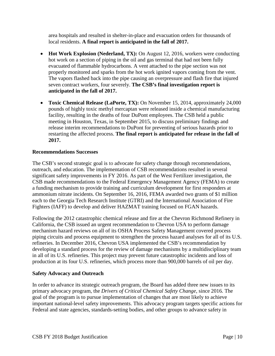area hospitals and resulted in shelter-in-place and evacuation orders for thousands of local residents. **A final report is anticipated in the fall of 2017.**

- **Hot Work Explosion (Nederland, TX):** On August 12, 2016, workers were conducting hot work on a section of piping in the oil and gas terminal that had not been fully evacuated of flammable hydrocarbons. A vent attached to the pipe section was not properly monitored and sparks from the hot work ignited vapors coming from the vent. The vapors flashed back into the pipe causing an overpressure and flash fire that injured seven contract workers, four severely. **The CSB's final investigation report is anticipated in the fall of 2017.**
- **Toxic Chemical Release (LaPorte, TX):** On November 15, 2014, approximately 24,000 pounds of highly toxic methyl mercaptan were released inside a chemical manufacturing facility, resulting in the deaths of four DuPont employees. The CSB held a public meeting in Houston, Texas, in September 2015, to discuss preliminary findings and release interim recommendations to DuPont for preventing of serious hazards prior to restarting the affected process. **The final report is anticipated for release in the fall of 2017.**

### **Recommendations Successes**

The CSB's second strategic goal is to advocate for safety change through recommendations, outreach, and education. The implementation of CSB recommendations resulted in several significant safety improvements in FY 2016. As part of the West Fertilizer investigation, the CSB made recommendations to the Federal Emergency Management Agency (FEMA) to create a funding mechanism to provide training and curriculum development for first responders at ammonium nitrate incidents. On September 16, 2016, FEMA awarded two grants of \$1 million each to the Georgia Tech Research Institute (GTRI) and the International Association of Fire Fighters (IAFF) to develop and deliver HAZMAT training focused on FGAN hazards.

Following the 2012 catastrophic chemical release and fire at the Chevron Richmond Refinery in California, the CSB issued an urgent recommendation to Chevron USA to perform damage mechanism hazard reviews on all of its OSHA Process Safety Management covered process piping circuits and process equipment to strengthen the process hazard analyses for all of its U.S. refineries. In December 2016, Chevron USA implemented the CSB's recommendation by developing a standard process for the review of damage mechanisms by a multidisciplinary team in all of its U.S. refineries. This project may prevent future catastrophic incidents and loss of production at its four U.S. refineries, which process more than 900,000 barrels of oil per day.

#### **Safety Advocacy and Outreach**

In order to advance its strategic outreach program, the Board has added three new issues to its primary advocacy program, the *Drivers of Critical Chemical Safety Change*, since 2016. The goal of the program is to pursue implementation of changes that are most likely to achieve important national-level safety improvements. This advocacy program targets specific actions for Federal and state agencies, standards-setting bodies, and other groups to advance safety in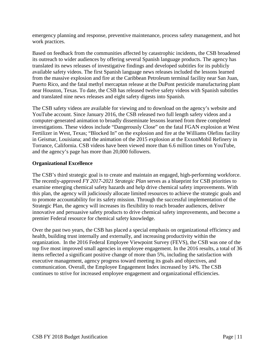emergency planning and response, preventive maintenance, process safety management, and hot work practices.

Based on feedback from the communities affected by catastrophic incidents, the CSB broadened its outreach to wider audiences by offering several Spanish language products. The agency has translated its news releases of investigative findings and developed subtitles for its publicly available safety videos. The first Spanish language news releases included the lessons learned from the massive explosion and fire at the Caribbean Petroleum terminal facility near San Juan, Puerto Rico, and the fatal methyl mercaptan release at the DuPont pesticide manufacturing plant near Houston, Texas. To date, the CSB has released twelve safety videos with Spanish subtitles and translated nine news releases and eight safety digests into Spanish.

The CSB safety videos are available for viewing and to download on the agency's website and YouTube account. Since January 2016, the CSB released two full length safety videos and a computer-generated animation to broadly disseminate lessons learned from three completed investigations. These videos include "Dangerously Close" on the fatal FGAN explosion at West Fertilizer in West, Texas; "Blocked In" on the explosion and fire at the Williams Olefins facility in Geismar, Louisiana; and the animation of the 2015 explosion at the ExxonMobil Refinery in Torrance, California. CSB videos have been viewed more than 6.6 million times on YouTube, and the agency's page has more than 20,000 followers.

#### **Organizational Excellence**

The CSB's third strategic goal is to create and maintain an engaged, high-performing workforce. The recently-approved *FY 2017-2021 Strategic Plan* serves as a blueprint for CSB priorities to examine emerging chemical safety hazards and help drive chemical safety improvements. With this plan, the agency will judiciously allocate limited resources to achieve the strategic goals and to promote accountability for its safety mission. Through the successful implementation of the Strategic Plan, the agency will increases its flexibility to reach broader audiences, deliver innovative and persuasive safety products to drive chemical safety improvements, and become a premier Federal resource for chemical safety knowledge.

Over the past two years, the CSB has placed a special emphasis on organizational efficiency and health, building trust internally and externally, and increasing productivity within the organization. In the 2016 Federal Employee Viewpoint Survey (FEVS), the CSB was one of the top five most improved small agencies in employee engagement. In the 2016 results, a total of 36 items reflected a significant positive change of more than 5%, including the satisfaction with executive management, agency progress toward meeting its goals and objectives, and communication. Overall, the Employee Engagement Index increased by 14%. The CSB continues to strive for increased employee engagement and organizational efficiencies.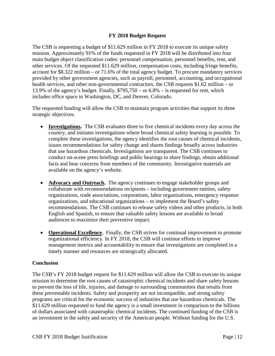#### **FY 2018 Budget Request**

The CSB is requesting a budget of \$11.629 million in FY 2018 to execute its unique safety mission. Approximately 91% of the funds requested in FY 2018 will be distributed into four main budget object classification codes: personnel compensation, personnel benefits, rent, and other services. Of the requested \$11.629 million, compensation costs, including fringe benefits, account for \$8.322 million – or 71.6% of the total agency budget. To procure mandatory services provided by other government agencies, such as payroll, personnel, accounting, and occupational health services, and other non-governmental contractors, the CSB requests \$1.62 million – or 13.9% of the agency's budget. Finally, \$795,750 – or 6.8% – is requested for rent, which includes office space in Washington, DC, and Denver, Colorado.

The requested funding will allow the CSB to maintain program activities that support its three strategic objectives.

- **Investigations.** The CSB evaluates three to five chemical incidents every day across the country, and initiates investigations where broad chemical safety learning is possible. To complete these investigations, the agency identifies the root causes of chemical incidents, issues recommendations for safety change and shares findings broadly across industries that use hazardous chemicals. Investigations are transparent. The CSB continues to conduct on-scene press briefings and public hearings to share findings, obtain additional facts and hear concerns from members of the community. Investigative materials are available on the agency's website.
- **Advocacy and Outreach.** The agency continues to engage stakeholder groups and collaborate with recommendations recipients – including government entities, safety organizations, trade associations, corporations, labor organizations, emergency response organizations, and educational organizations – to implement the Board's safety recommendations. The CSB continues to release safety videos and other products, in both English and Spanish, to ensure that valuable safety lessons are available to broad audiences to maximize their preventive impact.
- **Operational Excellence.** Finally, the CSB strives for continual improvement to promote organizational efficiency. In FY 2018, the CSB will continue efforts to improve management metrics and accountability to ensure that investigations are completed in a timely manner and resources are strategically allocated.

#### **Conclusion**

The CSB's FY 2018 budget request for \$11.629 million will allow the CSB to execute its unique mission to determine the root causes of catastrophic chemical incidents and share safety lessons to prevent the loss of life, injuries, and damage to surrounding communities that results from these preventable incidents. Safety and prosperity are not incompatible, and strong safety programs are critical for the economic success of industries that use hazardous chemicals. The \$11.629 million requested to fund the agency is a small investment in comparison to the billions of dollars associated with catastrophic chemical incidents. The continued funding of the CSB is an investment in the safety and security of the American people. Without funding for the U.S.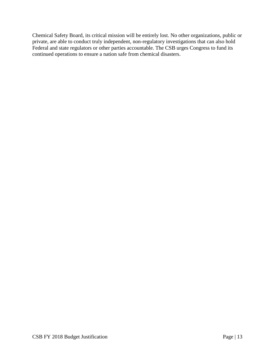Chemical Safety Board, its critical mission will be entirely lost. No other organizations, public or private, are able to conduct truly independent, non-regulatory investigations that can also hold Federal and state regulators or other parties accountable. The CSB urges Congress to fund its continued operations to ensure a nation safe from chemical disasters.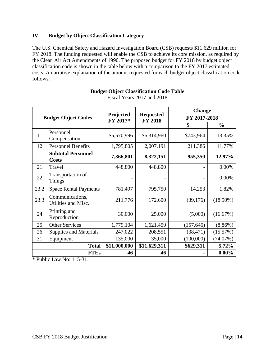#### **IV. Budget by Object Classification Category**

The U.S. Chemical Safety and Hazard Investigation Board (CSB) requests \$11.629 million for FY 2018. The funding requested will enable the CSB to achieve its core mission, as required by the Clean Air Act Amendments of 1990. The proposed budget for FY 2018 by budget object classification code is shown in the table below with a comparison to the FY 2017 estimated costs. A narrative explanation of the amount requested for each budget object classification code follows.

| <b>Budget Object Codes</b> |                                           | Projected<br>FY 2017* | <b>Requested</b><br><b>FY 2018</b> | <b>Change</b><br>FY 2017-2018 |               |
|----------------------------|-------------------------------------------|-----------------------|------------------------------------|-------------------------------|---------------|
|                            |                                           |                       |                                    | \$                            | $\frac{6}{6}$ |
| 11                         | Personnel<br>Compensation                 | \$5,570,996           | \$6,314,960                        | \$743,964                     | 13.35%        |
| 12                         | <b>Personnel Benefits</b>                 | 1,795,805             | 2,007,191                          | 211,386                       | 11.77%        |
|                            | <b>Subtotal Personnel</b><br><b>Costs</b> | 7,366,801             | 8,322,151                          | 955,350                       | 12.97%        |
| 21                         | Travel                                    | 448,800               | 448,800                            |                               | 0.00%         |
| 22                         | Transportation of<br><b>Things</b>        |                       |                                    |                               | 0.00%         |
| 23.2                       | <b>Space Rental Payments</b>              | 781,497               | 795,750                            | 14,253                        | 1.82%         |
| 23.3                       | Communications,<br>Utilities and Misc.    | 211,776               | 172,600                            | (39,176)                      | $(18.50\%)$   |
| 24                         | Printing and<br>Reproduction              | 30,000                | 25,000                             | (5,000)                       | (16.67%)      |
| 25                         | <b>Other Services</b>                     | 1,779,104             | 1,621,459                          | (157, 645)                    | $(8.86\%)$    |
| 26                         | <b>Supplies and Materials</b>             | 247,022               | 208,551                            | (38, 471)                     | (15.57%)      |
| 31                         | Equipment                                 | 135,000               | 35,000                             | (100,000)                     | (74.07%)      |
|                            | <b>Total</b>                              | \$11,000,000          | \$11,629,311                       | \$629,311                     | 5.72%         |
|                            | <b>FTEs</b>                               | 46                    | 46                                 |                               | $0.00\%$      |

<span id="page-14-0"></span>**Budget Object Classification Code Table**  Fiscal Years 2017 and 2018

\* Public Law No: 115-31.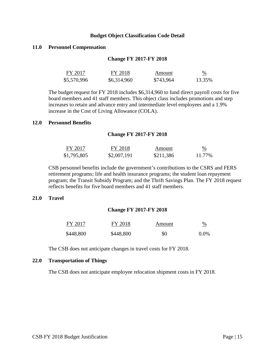#### **Budget Object Classification Code Detail**

#### **11.0 Personnel Compensation**

#### **Change FY 2017-FY 2018**

| FY 2017     | FY 2018     | Amount    | $\frac{\%}{\frac{1}{2}}$ |
|-------------|-------------|-----------|--------------------------|
| \$5,570,996 | \$6,314,960 | \$743,964 | 13.35%                   |

The budget request for FY 2018 includes \$6,314,960 to fund direct payroll costs for five board members and 41 staff members. This object class includes promotions and step increases to retain and advance entry and intermediate level employees and a 1.9% increase in the Cost of Living Allowance (COLA).

#### **12.0 Personnel Benefits**

#### **Change FY 2017-FY 2018**

| FY 2017     | FY 2018     | Amount    | $\%$<br><u> London and Communication and Communication and Communication and Communication and Communication and Communication and Communication and Communication and Communication and Communication and Communication and Communicati</u> |
|-------------|-------------|-----------|----------------------------------------------------------------------------------------------------------------------------------------------------------------------------------------------------------------------------------------------|
| \$1,795,805 | \$2,007,191 | \$211,386 | 11.77%                                                                                                                                                                                                                                       |

CSB personnel benefits include the government's contributions to the CSRS and FERS retirement programs; life and health insurance programs; the student loan repayment program; the Transit Subsidy Program; and the Thrift Savings Plan. The FY 2018 request reflects benefits for five board members and 41 staff members.

#### **21.0 Travel**

#### **Change FY 2017-FY 2018**

| FY 2017   | FY 2018   | Amount | $\frac{\%}{\%}$ |
|-----------|-----------|--------|-----------------|
| \$448,800 | \$448,800 | \$0    | $0.0\%$         |

The CSB does not anticipate changes in travel costs for FY 2018.

#### **22.0 Transportation of Things**

The CSB does not anticipate employee relocation shipment costs in FY 2018.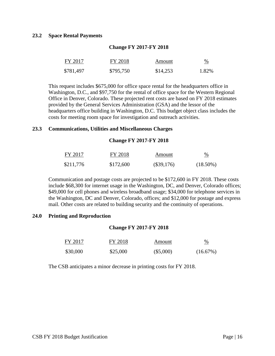#### **23.2 Space Rental Payments**

| FY 2017   | FY 2018   | Amount   | $\frac{0}{6}$ |
|-----------|-----------|----------|---------------|
| \$781,497 | \$795,750 | \$14,253 | 1.82%         |

**Change FY 2017-FY 2018**

This request includes \$675,000 for office space rental for the headquarters office in Washington, D.C., and \$97,750 for the rental of office space for the Western Regional Office in Denver, Colorado. These projected rent costs are based on FY 2018 estimates provided by the General Services Administration (GSA) and the lessor of the headquarters office building in Washington, D.C. This budget object class includes the costs for meeting room space for investigation and outreach activities.

#### **23.3 Communications, Utilities and Miscellaneous Charges**

#### **Change FY 2017-FY 2018**

| FY 2017   | FY 2018   | Amount       | %           |
|-----------|-----------|--------------|-------------|
| \$211,776 | \$172,600 | $(\$39,176)$ | $(18.50\%)$ |

Communication and postage costs are projected to be \$172,600 in FY 2018. These costs include \$68,300 for internet usage in the Washington, DC, and Denver, Colorado offices; \$49,000 for cell phones and wireless broadband usage; \$34,000 for telephone services in the Washington, DC and Denver, Colorado, offices; and \$12,000 for postage and express mail. Other costs are related to building security and the continuity of operations.

#### **24.0 Printing and Reproduction**

#### **Change FY 2017-FY 2018**

| FY 2017  | FY 2018  | Amount      | $\frac{\%}{\frac{1}{2}}$ |
|----------|----------|-------------|--------------------------|
| \$30,000 | \$25,000 | $(\$5,000)$ | $(16.67\%)$              |

The CSB anticipates a minor decrease in printing costs for FY 2018.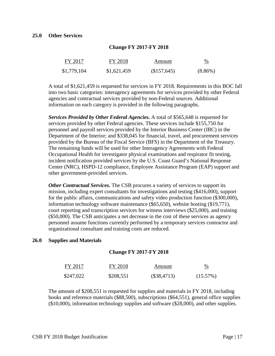| FY 2017     | FY 2018     | Amount      | $\frac{0}{0}$ |
|-------------|-------------|-------------|---------------|
| \$1,779,104 | \$1,621,459 | (\$157,645) | $(8.86\%)$    |

#### **Change FY 2017-FY 2018**

A total of \$1,621,459 is requested for services in FY 2018. Requirements in this BOC fall into two basic categories: interagency agreements for services provided by other Federal agencies and contractual services provided by non-Federal sources. Additional information on each category is provided in the following paragraphs.

*Services Provided by Other Federal Agencies.* A total of \$565,648 is requested for services provided by other Federal agencies. These services include \$155,750 for personnel and payroll services provided by the Interior Business Center (IBC) in the Department of the Interior; and \$338,045 for financial, travel, and procurement services provided by the Bureau of the Fiscal Service (BFS) in the Department of the Treasury. The remaining funds will be used for other Interagency Agreements with Federal Occupational Health for investigator physical examinations and respirator fit testing, incident notification provided services by the U.S. Coast Guard's National Response Center (NRC), HSPD-12 compliance, Employee Assistance Program (EAP) support and other government-provided services.

*Other Contractual Services.* The CSB procures a variety of services to support its mission, including expert consultants for investigations and testing (\$416,000), support for the public affairs, communications and safety video production function (\$300,000), information technology software maintenance (\$65,650), website hosting (\$19,771), court reporting and transcription services for witness interviews (\$25,000), and training (\$50,000). The CSB anticipates a net decrease in the cost of these services as agency personnel assume functions currently performed by a temporary services contractor and organizational consultant and training costs are reduced.

#### **26.0 Supplies and Materials**

#### **Change FY 2017-FY 2018**

| FY 2017   | FY 2018   | Amount      | $\frac{0}{0}$ |
|-----------|-----------|-------------|---------------|
| \$247,022 | \$208,551 | (\$38,4713) | $(15.57\%)$   |

The amount of \$208,551 is requested for supplies and materials in FY 2018, including books and reference materials (\$88,500), subscriptions (\$64,551), general office supplies (\$10,000), information technology supplies and software (\$28,000), and other supplies.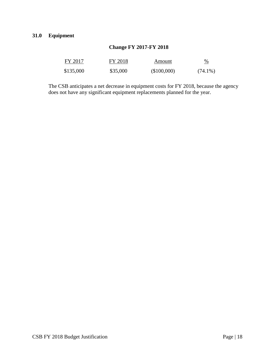#### **Change FY 2017-FY 2018**

| FY 2017   | FY 2018  | Amount      | $\frac{0}{0}$ |
|-----------|----------|-------------|---------------|
| \$135,000 | \$35,000 | (\$100,000) | $(74.1\%)$    |

The CSB anticipates a net decrease in equipment costs for FY 2018, because the agency does not have any significant equipment replacements planned for the year.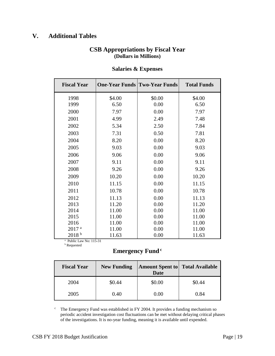## <span id="page-19-0"></span>**V. Additional Tables**

### **CSB Appropriations by Fiscal Year (Dollars in Millions)**

| <b>Fiscal Year</b> |        | <b>One-Year Funds Two-Year Funds</b> | <b>Total Funds</b> |
|--------------------|--------|--------------------------------------|--------------------|
| 1998               | \$4.00 | \$0.00                               | \$4.00             |
| 1999               | 6.50   | 0.00                                 | 6.50               |
| 2000               | 7.97   | 0.00                                 | 7.97               |
| 2001               | 4.99   | 2.49                                 | 7.48               |
| 2002               | 5.34   | 2.50                                 | 7.84               |
| 2003               | 7.31   | 0.50                                 | 7.81               |
| 2004               | 8.20   | 0.00                                 | 8.20               |
| 2005               | 9.03   | 0.00                                 | 9.03               |
| 2006               | 9.06   | 0.00                                 | 9.06               |
| 2007               | 9.11   | 0.00                                 | 9.11               |
| 2008               | 9.26   | 0.00                                 | 9.26               |
| 2009               | 10.20  | 0.00                                 | 10.20              |
| 2010               | 11.15  | 0.00                                 | 11.15              |
| 2011               | 10.78  | 0.00                                 | 10.78              |
| 2012               | 11.13  | 0.00                                 | 11.13              |
| 2013               | 11.20  | 0.00                                 | 11.20              |
| 2014               | 11.00  | 0.00                                 | 11.00              |
| 2015               | 11.00  | 0.00                                 | 11.00              |
| 2016               | 11.00  | 0.00                                 | 11.00              |
| 2017 <sup>a</sup>  | 11.00  | 0.00                                 | 11.00              |
| 2018 <sup>b</sup>  | 11.63  | 0.00                                 | 11.63              |

#### **Salaries & Expenses**

<sup>a</sup> Public Law No: 115-31  $^{\mathrm{b}}$  Requested

## **Emergency Fund <sup>c</sup>**

| <b>Fiscal Year</b> | <b>New Funding</b> | <b>Amount Spent to Total Available</b><br><b>Date</b> |        |
|--------------------|--------------------|-------------------------------------------------------|--------|
| 2004               | \$0.44             | \$0.00                                                | \$0.44 |
| 2005               | 0.40               | 0.00                                                  | 0.84   |

 $\degree$  The Emergency Fund was established in FY 2004. It provides a funding mechanism so periodic accident investigation cost fluctuations can be met without delaying critical phases of the investigations. It is no-year funding, meaning it is available until expended.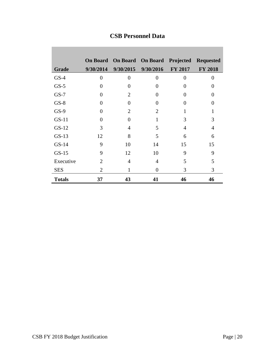|               | <b>On Board</b> |                | <b>On Board</b> On Board | Projected      | <b>Requested</b> |
|---------------|-----------------|----------------|--------------------------|----------------|------------------|
| Grade         | 9/30/2014       | 9/30/2015      | 9/30/2016                | <b>FY 2017</b> | <b>FY 2018</b>   |
| $GS-4$        | $\theta$        | $\theta$       | $\theta$                 | 0              | 0                |
| $GS-5$        | $\theta$        | 0              | 0                        | 0              | 0                |
| $GS-7$        | $\overline{0}$  | $\overline{2}$ | 0                        | 0              | 0                |
| $GS-8$        | $\Omega$        | 0              | $\Omega$                 | 0              | 0                |
| $GS-9$        | $\Omega$        | 2              | 2                        | 1              |                  |
| $GS-11$       | $\Omega$        | 0              | 1                        | 3              | 3                |
| $GS-12$       | 3               | $\overline{4}$ | 5                        | 4              | 4                |
| $GS-13$       | 12              | 8              | 5                        | 6              | 6                |
| $GS-14$       | 9               | 10             | 14                       | 15             | 15               |
| $GS-15$       | 9               | 12             | 10                       | 9              | 9                |
| Executive     | 2               | $\overline{4}$ | 4                        | 5              | 5                |
| <b>SES</b>    | 2               | 1              | 0                        | 3              | 3                |
| <b>Totals</b> | 37              | 43             | 41                       | 46             | 46               |

## **CSB Personnel Data**